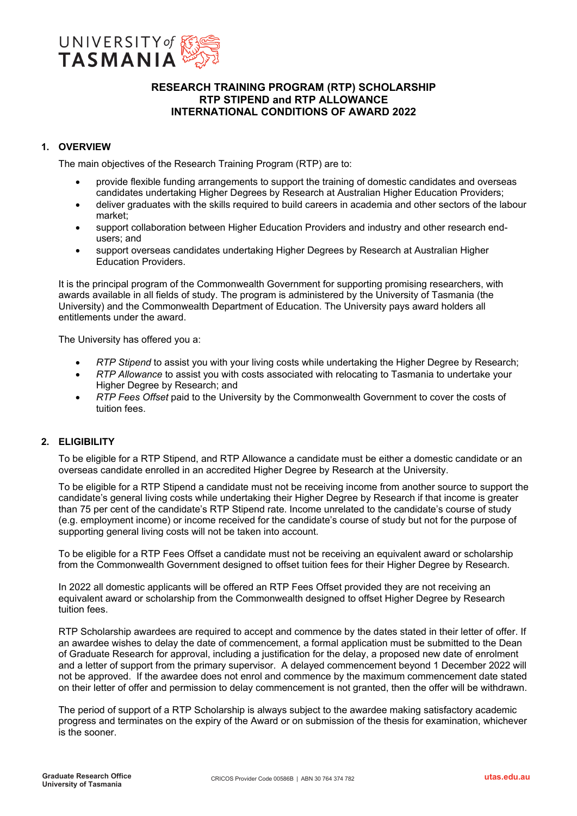

# **RESEARCH TRAINING PROGRAM (RTP) SCHOLARSHIP RTP STIPEND and RTP ALLOWANCE INTERNATIONAL CONDITIONS OF AWARD 2022**

# **1. OVERVIEW**

The main objectives of the Research Training Program (RTP) are to:

- provide flexible funding arrangements to support the training of domestic candidates and overseas candidates undertaking Higher Degrees by Research at Australian Higher Education Providers;
- deliver graduates with the skills required to build careers in academia and other sectors of the labour market;
- support collaboration between Higher Education Providers and industry and other research endusers; and
- support overseas candidates undertaking Higher Degrees by Research at Australian Higher Education Providers.

It is the principal program of the Commonwealth Government for supporting promising researchers, with awards available in all fields of study. The program is administered by the University of Tasmania (the University) and the Commonwealth Department of Education. The University pays award holders all entitlements under the award.

The University has offered you a:

- *RTP Stipend* to assist you with your living costs while undertaking the Higher Degree by Research;
- *RTP Allowance* to assist you with costs associated with relocating to Tasmania to undertake your Higher Degree by Research; and
- *RTP Fees Offset* paid to the University by the Commonwealth Government to cover the costs of tuition fees.

# **2. ELIGIBILITY**

To be eligible for a RTP Stipend, and RTP Allowance a candidate must be either a domestic candidate or an overseas candidate enrolled in an accredited Higher Degree by Research at the University.

To be eligible for a RTP Stipend a candidate must not be receiving income from another source to support the candidate's general living costs while undertaking their Higher Degree by Research if that income is greater than 75 per cent of the candidate's RTP Stipend rate. Income unrelated to the candidate's course of study (e.g. employment income) or income received for the candidate's course of study but not for the purpose of supporting general living costs will not be taken into account.

To be eligible for a RTP Fees Offset a candidate must not be receiving an equivalent award or scholarship from the Commonwealth Government designed to offset tuition fees for their Higher Degree by Research.

In 2022 all domestic applicants will be offered an RTP Fees Offset provided they are not receiving an equivalent award or scholarship from the Commonwealth designed to offset Higher Degree by Research tuition fees.

RTP Scholarship awardees are required to accept and commence by the dates stated in their letter of offer. If an awardee wishes to delay the date of commencement, a formal application must be submitted to the Dean of Graduate Research for approval, including a justification for the delay, a proposed new date of enrolment and a letter of support from the primary supervisor. A delayed commencement beyond 1 December 2022 will not be approved. If the awardee does not enrol and commence by the maximum commencement date stated on their letter of offer and permission to delay commencement is not granted, then the offer will be withdrawn.

The period of support of a RTP Scholarship is always subject to the awardee making satisfactory academic progress and terminates on the expiry of the Award or on submission of the thesis for examination, whichever is the sooner.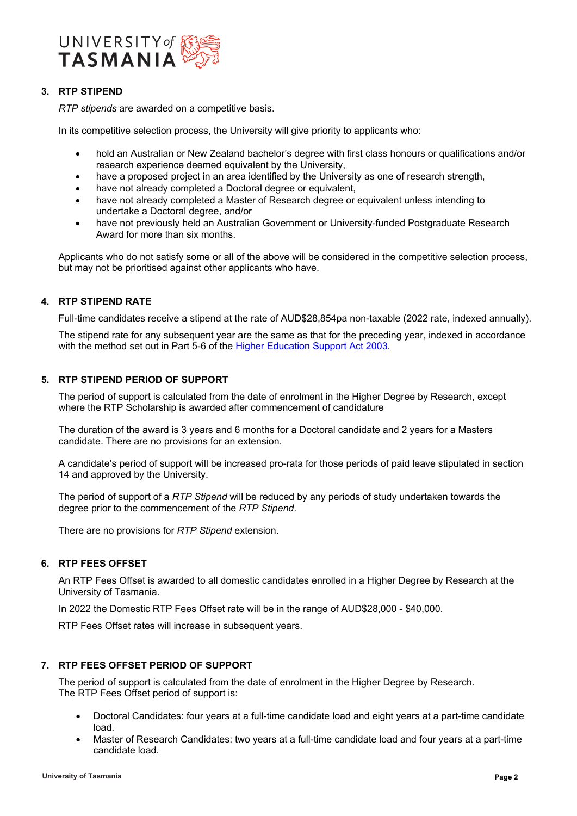

# **3. RTP STIPEND**

*RTP stipends* are awarded on a competitive basis.

In its competitive selection process, the University will give priority to applicants who:

- hold an Australian or New Zealand bachelor's degree with first class honours or qualifications and/or research experience deemed equivalent by the University,
- have a proposed project in an area identified by the University as one of research strength,
- have not already completed a Doctoral degree or equivalent,
- have not already completed a Master of Research degree or equivalent unless intending to undertake a Doctoral degree, and/or
- have not previously held an Australian Government or University-funded Postgraduate Research Award for more than six months.

Applicants who do not satisfy some or all of the above will be considered in the competitive selection process, but may not be prioritised against other applicants who have.

## **4. RTP STIPEND RATE**

Full-time candidates receive a stipend at the rate of AUD\$28,854pa non-taxable (2022 rate, indexed annually).

The stipend rate for any subsequent year are the same as that for the preceding year, indexed in accordance with the method set out in Part 5-6 of the [Higher Education Support Act 2003.](https://www.legislation.gov.au/Details/C2016C00379)

# **5. RTP STIPEND PERIOD OF SUPPORT**

The period of support is calculated from the date of enrolment in the Higher Degree by Research, except where the RTP Scholarship is awarded after commencement of candidature

The duration of the award is 3 years and 6 months for a Doctoral candidate and 2 years for a Masters candidate. There are no provisions for an extension.

A candidate's period of support will be increased pro-rata for those periods of paid leave stipulated in section 14 and approved by the University.

The period of support of a *RTP Stipend* will be reduced by any periods of study undertaken towards the degree prior to the commencement of the *RTP Stipend*.

There are no provisions for *RTP Stipend* extension.

## **6. RTP FEES OFFSET**

An RTP Fees Offset is awarded to all domestic candidates enrolled in a Higher Degree by Research at the University of Tasmania.

In 2022 the Domestic RTP Fees Offset rate will be in the range of AUD\$28,000 - \$40,000.

RTP Fees Offset rates will increase in subsequent years.

## **7. RTP FEES OFFSET PERIOD OF SUPPORT**

The period of support is calculated from the date of enrolment in the Higher Degree by Research. The RTP Fees Offset period of support is:

- Doctoral Candidates: four years at a full-time candidate load and eight years at a part-time candidate load.
- Master of Research Candidates: two years at a full-time candidate load and four years at a part-time candidate load.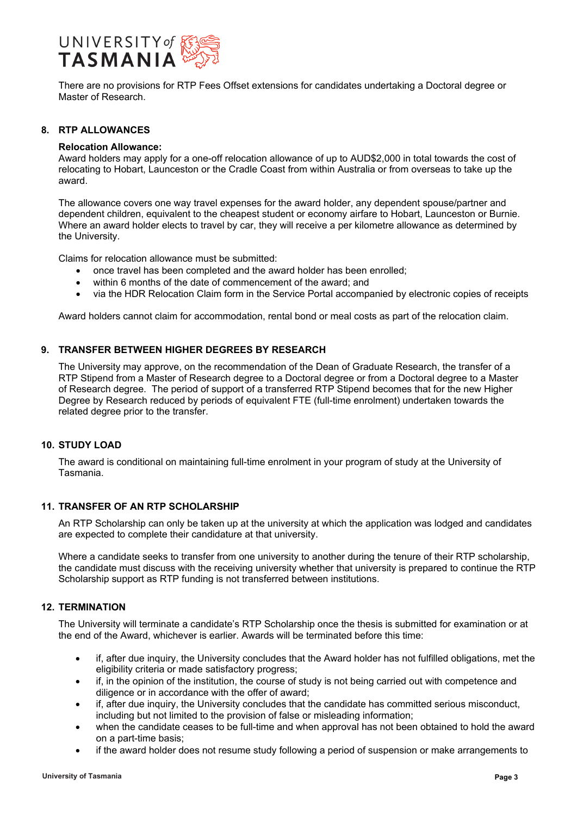

There are no provisions for RTP Fees Offset extensions for candidates undertaking a Doctoral degree or Master of Research.

## **8. RTP ALLOWANCES**

#### **Relocation Allowance:**

Award holders may apply for a one-off relocation allowance of up to AUD\$2,000 in total towards the cost of relocating to Hobart, Launceston or the Cradle Coast from within Australia or from overseas to take up the award.

The allowance covers one way travel expenses for the award holder, any dependent spouse/partner and dependent children, equivalent to the cheapest student or economy airfare to Hobart, Launceston or Burnie. Where an award holder elects to travel by car, they will receive a per kilometre allowance as determined by the University.

Claims for relocation allowance must be submitted:

- once travel has been completed and the award holder has been enrolled;
- within 6 months of the date of commencement of the award; and
- via the HDR Relocation Claim form in the Service Portal accompanied by electronic copies of receipts

Award holders cannot claim for accommodation, rental bond or meal costs as part of the relocation claim.

## **9. TRANSFER BETWEEN HIGHER DEGREES BY RESEARCH**

The University may approve, on the recommendation of the Dean of Graduate Research, the transfer of a RTP Stipend from a Master of Research degree to a Doctoral degree or from a Doctoral degree to a Master of Research degree. The period of support of a transferred RTP Stipend becomes that for the new Higher Degree by Research reduced by periods of equivalent FTE (full-time enrolment) undertaken towards the related degree prior to the transfer.

## **10. STUDY LOAD**

The award is conditional on maintaining full-time enrolment in your program of study at the University of Tasmania.

## **11. TRANSFER OF AN RTP SCHOLARSHIP**

An RTP Scholarship can only be taken up at the university at which the application was lodged and candidates are expected to complete their candidature at that university.

Where a candidate seeks to transfer from one university to another during the tenure of their RTP scholarship, the candidate must discuss with the receiving university whether that university is prepared to continue the RTP Scholarship support as RTP funding is not transferred between institutions.

#### **12. TERMINATION**

The University will terminate a candidate's RTP Scholarship once the thesis is submitted for examination or at the end of the Award, whichever is earlier. Awards will be terminated before this time:

- if, after due inquiry, the University concludes that the Award holder has not fulfilled obligations, met the eligibility criteria or made satisfactory progress;
- if, in the opinion of the institution, the course of study is not being carried out with competence and diligence or in accordance with the offer of award;
- if, after due inquiry, the University concludes that the candidate has committed serious misconduct, including but not limited to the provision of false or misleading information;
- when the candidate ceases to be full-time and when approval has not been obtained to hold the award on a part-time basis;
- if the award holder does not resume study following a period of suspension or make arrangements to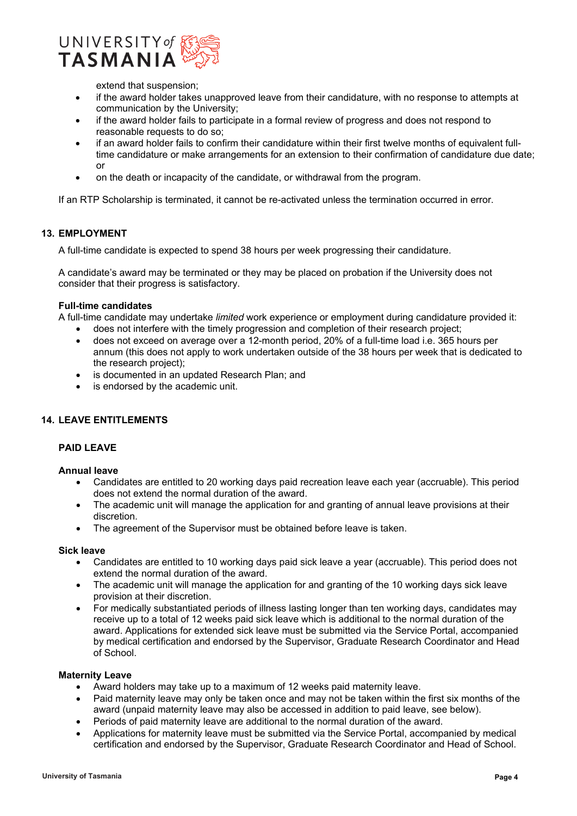

extend that suspension;

- if the award holder takes unapproved leave from their candidature, with no response to attempts at communication by the University;
- if the award holder fails to participate in a formal review of progress and does not respond to reasonable requests to do so;
- if an award holder fails to confirm their candidature within their first twelve months of equivalent fulltime candidature or make arrangements for an extension to their confirmation of candidature due date; or
- on the death or incapacity of the candidate, or withdrawal from the program.

If an RTP Scholarship is terminated, it cannot be re-activated unless the termination occurred in error.

## **13. EMPLOYMENT**

A full-time candidate is expected to spend 38 hours per week progressing their candidature.

A candidate's award may be terminated or they may be placed on probation if the University does not consider that their progress is satisfactory.

#### **Full-time candidates**

A full-time candidate may undertake *limited* work experience or employment during candidature provided it:

- does not interfere with the timely progression and completion of their research project;
- does not exceed on average over a 12-month period, 20% of a full-time load i.e. 365 hours per annum (this does not apply to work undertaken outside of the 38 hours per week that is dedicated to the research project);
- is documented in an updated Research Plan; and
- is endorsed by the academic unit.

## **14. LEAVE ENTITLEMENTS**

#### **PAID LEAVE**

#### **Annual leave**

- Candidates are entitled to 20 working days paid recreation leave each year (accruable). This period does not extend the normal duration of the award.
- The academic unit will manage the application for and granting of annual leave provisions at their discretion.
- The agreement of the Supervisor must be obtained before leave is taken.

#### **Sick leave**

- Candidates are entitled to 10 working days paid sick leave a year (accruable). This period does not extend the normal duration of the award.
- The academic unit will manage the application for and granting of the 10 working days sick leave provision at their discretion.
- For medically substantiated periods of illness lasting longer than ten working days, candidates may receive up to a total of 12 weeks paid sick leave which is additional to the normal duration of the award. Applications for extended sick leave must be submitted via the Service Portal, accompanied by medical certification and endorsed by the Supervisor, Graduate Research Coordinator and Head of School.

## **Maternity Leave**

- Award holders may take up to a maximum of 12 weeks paid maternity leave.
- Paid maternity leave may only be taken once and may not be taken within the first six months of the award (unpaid maternity leave may also be accessed in addition to paid leave, see below).
- Periods of paid maternity leave are additional to the normal duration of the award.
- Applications for maternity leave must be submitted via the Service Portal, accompanied by medical certification and endorsed by the Supervisor, Graduate Research Coordinator and Head of School.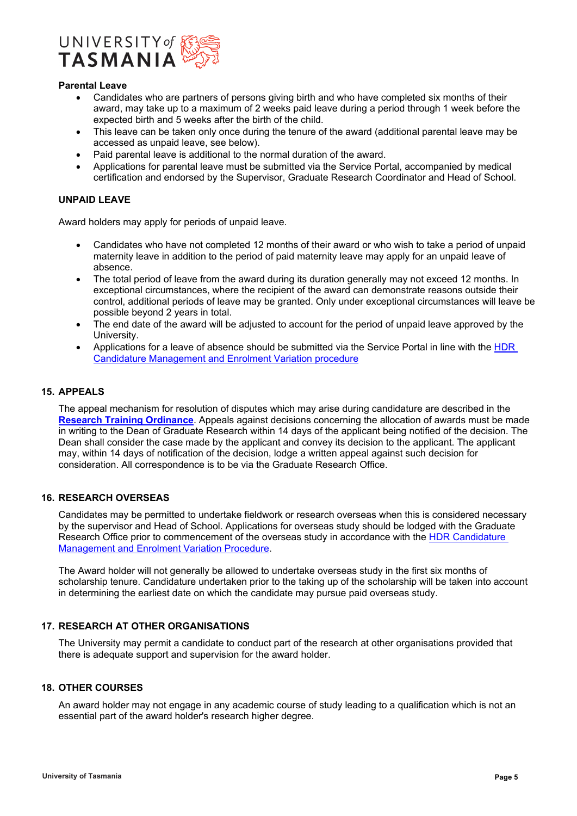

#### **Parental Leave**

- Candidates who are partners of persons giving birth and who have completed six months of their award, may take up to a maximum of 2 weeks paid leave during a period through 1 week before the expected birth and 5 weeks after the birth of the child.
- This leave can be taken only once during the tenure of the award (additional parental leave may be accessed as unpaid leave, see below).
- Paid parental leave is additional to the normal duration of the award.
- Applications for parental leave must be submitted via the Service Portal, accompanied by medical certification and endorsed by the Supervisor, Graduate Research Coordinator and Head of School.

## **UNPAID LEAVE**

Award holders may apply for periods of unpaid leave.

- Candidates who have not completed 12 months of their award or who wish to take a period of unpaid maternity leave in addition to the period of paid maternity leave may apply for an unpaid leave of absence.
- The total period of leave from the award during its duration generally may not exceed 12 months. In exceptional circumstances, where the recipient of the award can demonstrate reasons outside their control, additional periods of leave may be granted. Only under exceptional circumstances will leave be possible beyond 2 years in total.
- The end date of the award will be adjusted to account for the period of unpaid leave approved by the University.
- Applications for a leave of absence should be submitted via the Service Portal in line with the [HDR](https://www.utas.edu.au/research-admin/graduate-research/policies-and-forms/hdr-policies)  [Candidature Management and Enrolment Variation procedure](https://www.utas.edu.au/research-admin/graduate-research/policies-and-forms/hdr-policies)

## **15. APPEALS**

The appeal mechanism for resolution of disputes which may arise during candidature are described in the **[Research Training Ordinance](https://www.utas.edu.au/research-admin/graduate-research/policies-and-forms/hdr-policies)**. Appeals against decisions concerning the allocation of awards must be made in writing to the Dean of Graduate Research within 14 days of the applicant being notified of the decision. The Dean shall consider the case made by the applicant and convey its decision to the applicant. The applicant may, within 14 days of notification of the decision, lodge a written appeal against such decision for consideration. All correspondence is to be via the Graduate Research Office.

#### **16. RESEARCH OVERSEAS**

Candidates may be permitted to undertake fieldwork or research overseas when this is considered necessary by the supervisor and Head of School. Applications for overseas study should be lodged with the Graduate Research Office prior to commencement of the overseas study in accordance with the [HDR Candidature](https://www.utas.edu.au/research-admin/graduate-research/policies-and-forms/hdr-policies)  [Management and Enrolment Variation Procedure.](https://www.utas.edu.au/research-admin/graduate-research/policies-and-forms/hdr-policies)

The Award holder will not generally be allowed to undertake overseas study in the first six months of scholarship tenure. Candidature undertaken prior to the taking up of the scholarship will be taken into account in determining the earliest date on which the candidate may pursue paid overseas study.

## **17. RESEARCH AT OTHER ORGANISATIONS**

The University may permit a candidate to conduct part of the research at other organisations provided that there is adequate support and supervision for the award holder.

#### **18. OTHER COURSES**

An award holder may not engage in any academic course of study leading to a qualification which is not an essential part of the award holder's research higher degree.